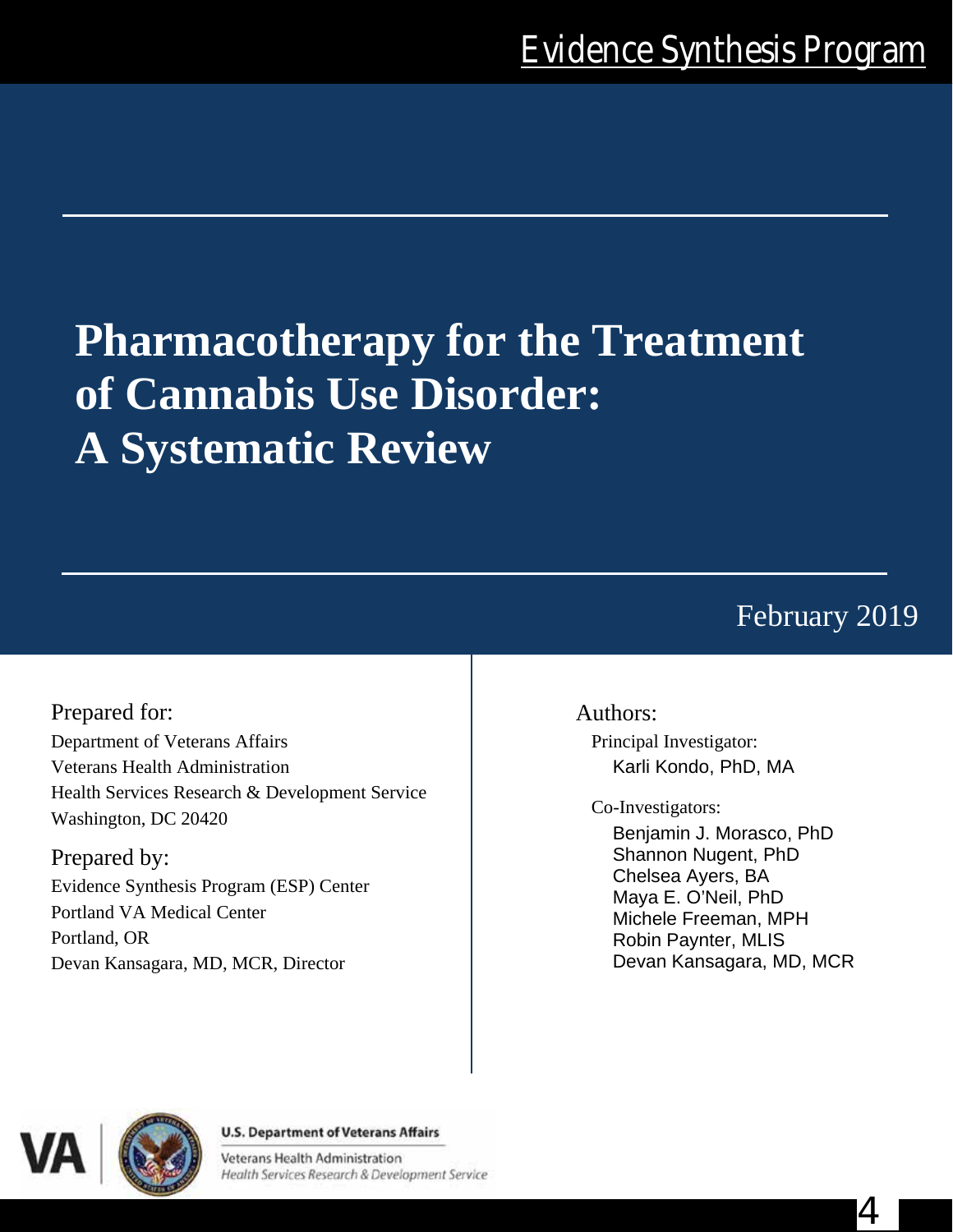# **Pharmacotherapy for the Treatment of Cannabis Use Disorder: A Systematic Review**

February 2019

4

Prepared for: Department of Veterans Affairs Veterans Health Administration Health Services Research & Development Service Washington, DC 20420

Prepared by: Evidence Synthesis Program (ESP) Center Portland VA Medical Center Portland, OR Devan Kansagara, MD, MCR, Director

# Authors:

Principal Investigator: Karli Kondo, PhD, MA

Co-Investigators:

Benjamin J. Morasco, PhD Shannon Nugent, PhD Chelsea Ayers, BA Maya E. O'Neil, PhD Michele Freeman, MPH Robin Paynter, MLIS Devan Kansagara, MD, MCR



#### **U.S. Department of Veterans Affairs**

Veterans Health Administration Health Services Research & Development Service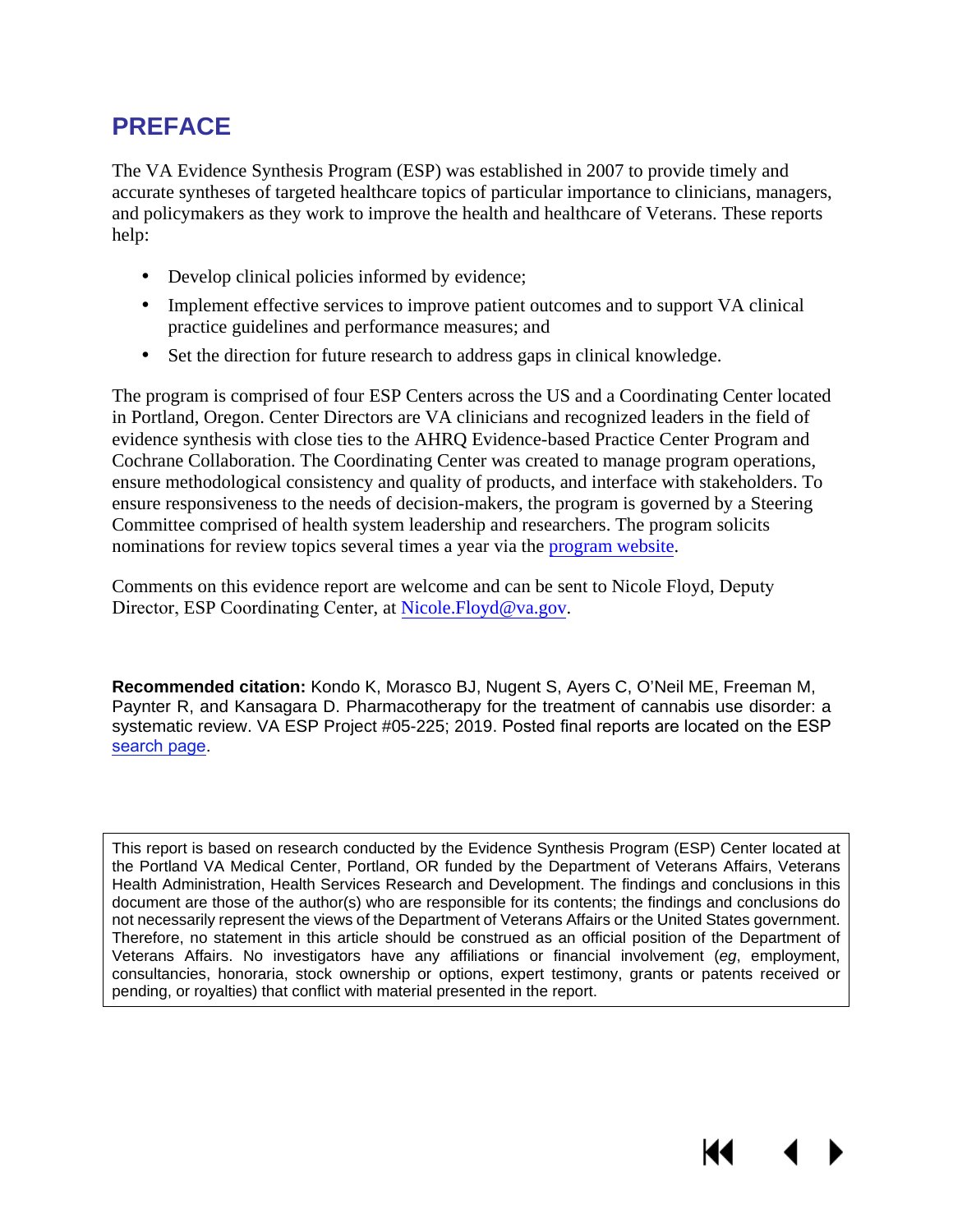# **PREFACE**

The VA Evidence Synthesis Program (ESP) was established in 2007 to provide timely and accurate syntheses of targeted healthcare topics of particular importance to clinicians, managers, and policymakers as they work to improve the health and healthcare of Veterans. These reports help:

- Develop clinical policies informed by evidence;
- Implement effective services to improve patient outcomes and to support VA clinical  $\mathbf{L}$ practice guidelines and performance measures; and
- Set the direction for future research to address gaps in clinical knowledge.  $\mathcal{L}^{\mathcal{L}}$

The program is comprised of four ESP Centers across the US and a Coordinating Center located in Portland, Oregon. Center Directors are VA clinicians and recognized leaders in the field of evidence synthesis with close ties to the AHRQ Evidence-based Practice Center Program and Cochrane Collaboration. The Coordinating Center was created to manage program operations, ensure methodological consistency and quality of products, and interface with stakeholders. To ensure responsiveness to the needs of decision-makers, the program is governed by a Steering Committee comprised of health system leadership and researchers. The program solicits nominations for review topics several times a year via the [program](https://www.hsrd.research.va.gov/publications/esp/TopicNomination.cfm) website.

Comments on this evidence report are welcome and can be sent to Nicole Floyd, Deputy Director, ESP Coord[inating Center](mailto:Nicole.Floyd@va.gov), at Nicole.Floyd@va.gov.

**Recommended citation:** Kondo K, Morasco BJ, Nugent S, Ayers C, O'Neil ME, Freeman M, Paynter R, and Kansagara D. Pharmacotherapy for the treatment of cannabis use disorder: a systematic review. VA ESP Project #05-225; 2019. Posted final reports are located on the ESP [search page](https://www.hsrd.research.va.gov/publications/esp/reports.cfm).

This report is based on research conducted by the Evidence Synthesis Program (ESP) Center located at the Portland VA Medical Center, Portland, OR funded by the Department of Veterans Affairs, Veterans Health Administration, Health Services Research and Development. The findings and conclusions in this document are those of the author(s) who are responsible for its contents; the findings and conclusions do not necessarily represent the views of the Department of Veterans Affairs or the United States government. Therefore, no statement in this article should be construed as an official position of the Department of Veterans Affairs. No investigators have any affiliations or financial involvement (*eg*, employment, consultancies, honoraria, stock ownership or options, expert testimony, grants or patents received or pending, or royalties) that conflict with material presented in the report.

KI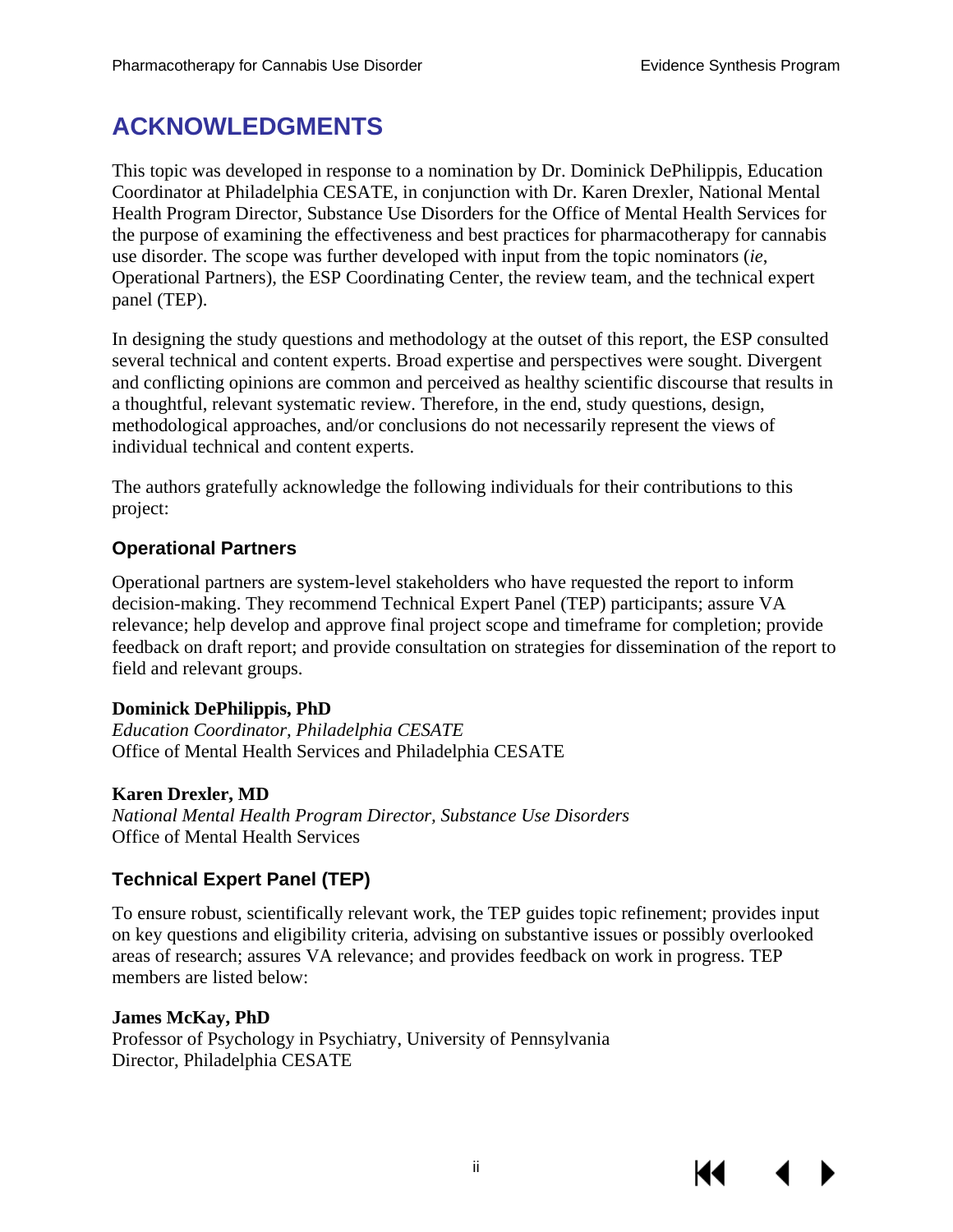# **ACKNOWLEDGMENTS**

This topic was developed in response to a nomination by Dr. Dominick DePhilippis, Education Coordinator at Philadelphia CESATE, in conjunction with Dr. Karen Drexler, National Mental Health Program Director, Substance Use Disorders for the Office of Mental Health Services for the purpose of examining the effectiveness and best practices for pharmacotherapy for cannabis use disorder. The scope was further developed with input from the topic nominators (*ie*, Operational Partners), the ESP Coordinating Center, the review team, and the technical expert panel (TEP).

In designing the study questions and methodology at the outset of this report, the ESP consulted several technical and content experts. Broad expertise and perspectives were sought. Divergent and conflicting opinions are common and perceived as healthy scientific discourse that results in a thoughtful, relevant systematic review. Therefore, in the end, study questions, design, methodological approaches, and/or conclusions do not necessarily represent the views of individual technical and content experts.

The authors gratefully acknowledge the following individuals for their contributions to this project:

## **Operational Partners**

Operational partners are system-level stakeholders who have requested the report to inform decision-making. They recommend Technical Expert Panel (TEP) participants; assure VA relevance; help develop and approve final project scope and timeframe for completion; provide feedback on draft report; and provide consultation on strategies for dissemination of the report to field and relevant groups.

## **Dominick DePhilippis, PhD**

*Education Coordinator, Philadelphia CESATE*  Office of Mental Health Services and Philadelphia CESATE

## **Karen Drexler, MD**

*National Mental Health Program Director, Substance Use Disorders*  Office of Mental Health Services

# **Technical Expert Panel (TEP)**

To ensure robust, scientifically relevant work, the TEP guides topic refinement; provides input on key questions and eligibility criteria, advising on substantive issues or possibly overlooked areas of research; assures VA relevance; and provides feedback on work in progress. TEP members are listed below:

## **James McKay, PhD**

Professor of Psychology in Psychiatry, University of Pennsylvania Director, Philadelphia CESATE

К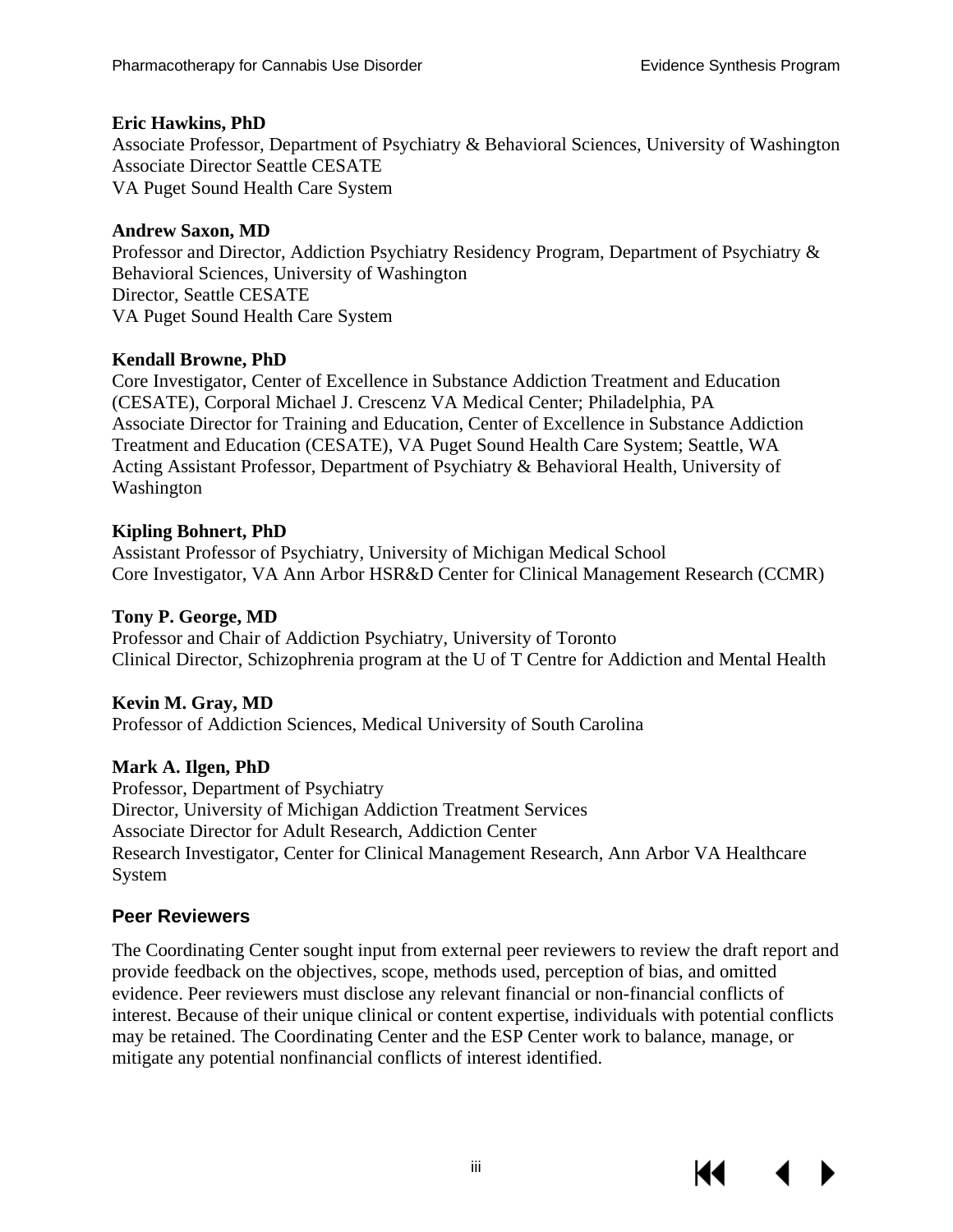#### **Eric Hawkins, PhD**

Associate Professor, Department of Psychiatry & Behavioral Sciences, University of Washington Associate Director Seattle CESATE VA Puget Sound Health Care System

#### **Andrew Saxon, MD**

Professor and Director, Addiction Psychiatry Residency Program, Department of Psychiatry & Behavioral Sciences, University of Washington Director, Seattle CESATE VA Puget Sound Health Care System

#### **Kendall Browne, PhD**

Core Investigator, Center of Excellence in Substance Addiction Treatment and Education (CESATE), Corporal Michael J. Crescenz VA Medical Center; Philadelphia, PA Associate Director for Training and Education, Center of Excellence in Substance Addiction Treatment and Education (CESATE), VA Puget Sound Health Care System; Seattle, WA Acting Assistant Professor, Department of Psychiatry & Behavioral Health, University of Washington

#### **Kipling Bohnert, PhD**

Assistant Professor of Psychiatry, University of Michigan Medical School Core Investigator, VA Ann Arbor HSR&D Center for Clinical Management Research (CCMR)

#### **Tony P. George, MD**

Professor and Chair of Addiction Psychiatry, University of Toronto Clinical Director, Schizophrenia program at the U of T Centre for Addiction and Mental Health

#### **Kevin M. Gray, MD**

Professor of Addiction Sciences, Medical University of South Carolina

#### **Mark A. Ilgen, PhD**

Professor, Department of Psychiatry Director, University of Michigan Addiction Treatment Services Associate Director for Adult Research, Addiction Center Research Investigator, Center for Clinical Management Research, Ann Arbor VA Healthcare System

#### **Peer Reviewers**

The Coordinating Center sought input from external peer reviewers to review the draft report and provide feedback on the objectives, scope, methods used, perception of bias, and omitted evidence. Peer reviewers must disclose any relevant financial or non-financial conflicts of interest. Because of their unique clinical or content expertise, individuals with potential conflicts may be retained. The Coordinating Center and the ESP Center work to balance, manage, or mitigate any potential nonfinancial conflicts of interest identified.

К1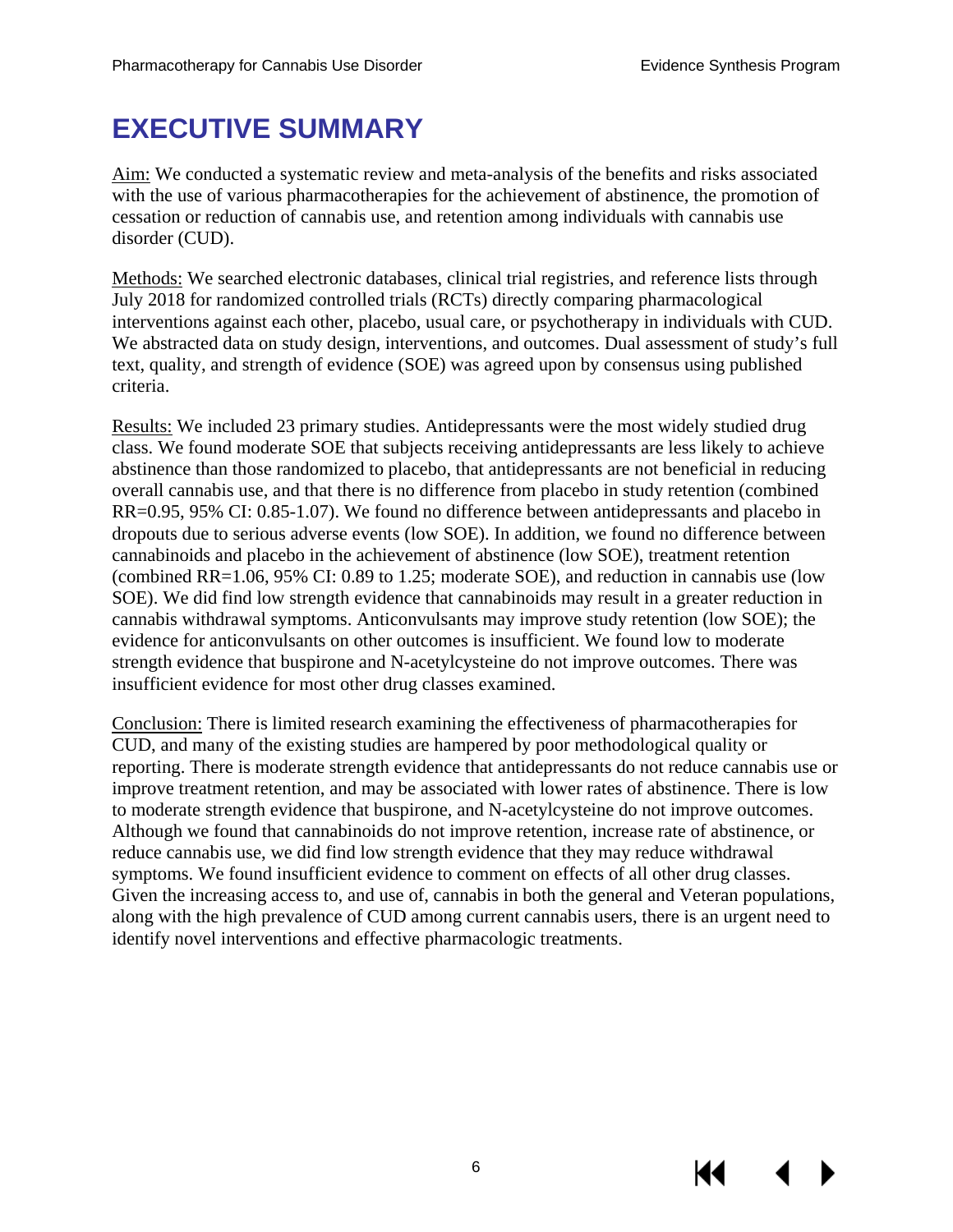# **EXECUTIVE SUMMARY**

Aim: We conducted a systematic review and meta-analysis of the benefits and risks associated with the use of various pharmacotherapies for the achievement of abstinence, the promotion of cessation or reduction of cannabis use, and retention among individuals with cannabis use disorder (CUD).

Methods: We searched electronic databases, clinical trial registries, and reference lists through July 2018 for randomized controlled trials (RCTs) directly comparing pharmacological interventions against each other, placebo, usual care, or psychotherapy in individuals with CUD. We abstracted data on study design, interventions, and outcomes. Dual assessment of study's full text, quality, and strength of evidence (SOE) was agreed upon by consensus using published criteria.

Results: We included 23 primary studies. Antidepressants were the most widely studied drug class. We found moderate SOE that subjects receiving antidepressants are less likely to achieve abstinence than those randomized to placebo, that antidepressants are not beneficial in reducing overall cannabis use, and that there is no difference from placebo in study retention (combined RR=0.95, 95% CI: 0.85-1.07). We found no difference between antidepressants and placebo in dropouts due to serious adverse events (low SOE). In addition, we found no difference between cannabinoids and placebo in the achievement of abstinence (low SOE), treatment retention (combined RR=1.06, 95% CI: 0.89 to 1.25; moderate SOE), and reduction in cannabis use (low SOE). We did find low strength evidence that cannabinoids may result in a greater reduction in cannabis withdrawal symptoms. Anticonvulsants may improve study retention (low SOE); the evidence for anticonvulsants on other outcomes is insufficient. We found low to moderate strength evidence that buspirone and N-acetylcysteine do not improve outcomes. There was insufficient evidence for most other drug classes examined.

Conclusion: There is limited research examining the effectiveness of pharmacotherapies for CUD, and many of the existing studies are hampered by poor methodological quality or reporting. There is moderate strength evidence that antidepressants do not reduce cannabis use or improve treatment retention, and may be associated with lower rates of abstinence. There is low to moderate strength evidence that buspirone, and N-acetylcysteine do not improve outcomes. Although we found that cannabinoids do not improve retention, increase rate of abstinence, or reduce cannabis use, we did find low strength evidence that they may reduce withdrawal symptoms. We found insufficient evidence to comment on effects of all other drug classes. Given the increasing access to, and use of, cannabis in both the general and Veteran populations, along with the high prevalence of CUD among current cannabis users, there is an urgent need to identify novel interventions and effective pharmacologic treatments.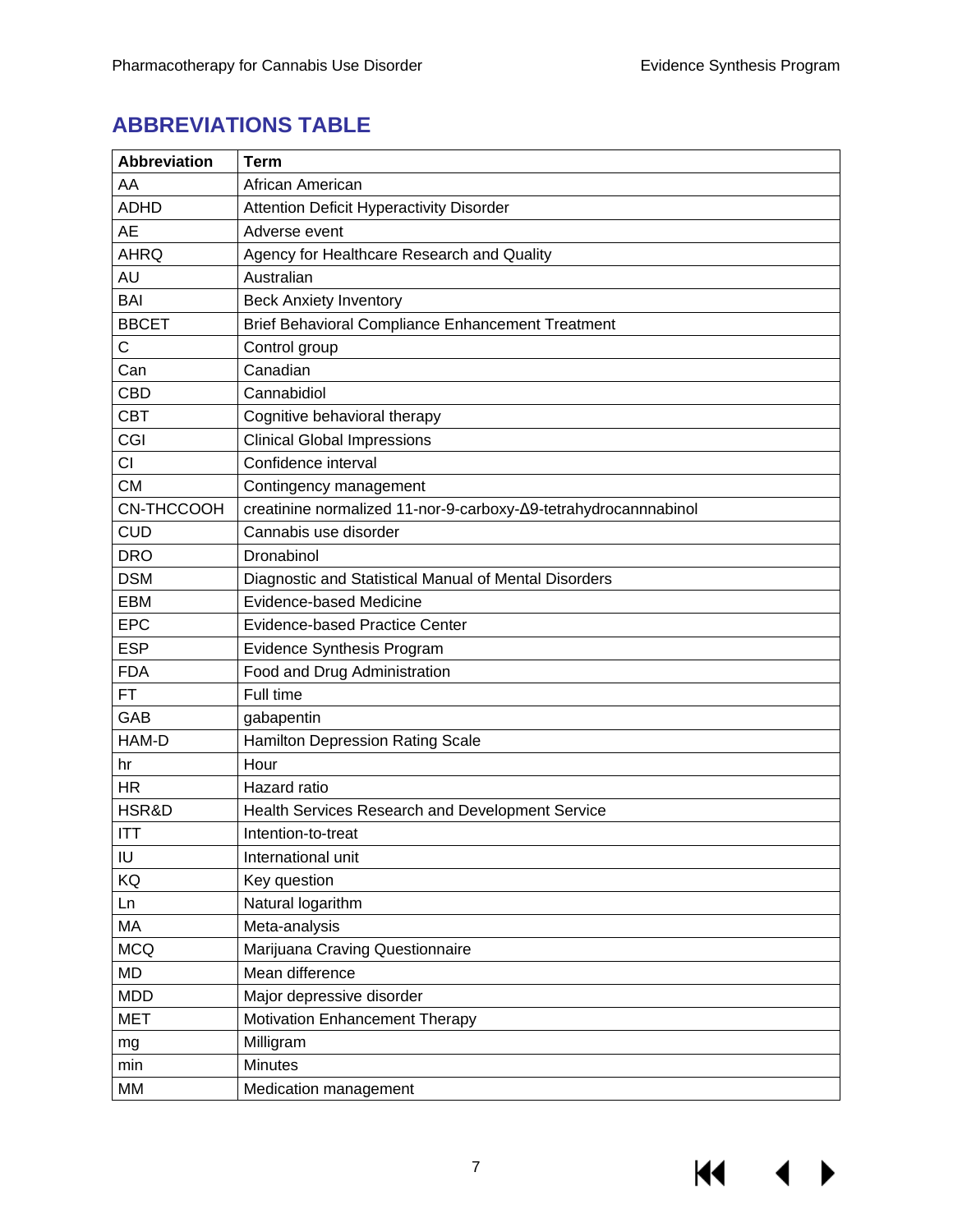$M \cdot 1$ 

 $\blacktriangleright$ 

# **ABBREVIATIONS TABLE**

| <b>Abbreviation</b> | <b>Term</b>                                                     |
|---------------------|-----------------------------------------------------------------|
| AA                  | African American                                                |
| <b>ADHD</b>         | <b>Attention Deficit Hyperactivity Disorder</b>                 |
| <b>AE</b>           | Adverse event                                                   |
| <b>AHRQ</b>         | Agency for Healthcare Research and Quality                      |
| AU                  | Australian                                                      |
| <b>BAI</b>          | <b>Beck Anxiety Inventory</b>                                   |
| <b>BBCET</b>        | Brief Behavioral Compliance Enhancement Treatment               |
| C                   | Control group                                                   |
| Can                 | Canadian                                                        |
| <b>CBD</b>          | Cannabidiol                                                     |
| <b>CBT</b>          | Cognitive behavioral therapy                                    |
| CGI                 | <b>Clinical Global Impressions</b>                              |
| CI                  | Confidence interval                                             |
| <b>CM</b>           | Contingency management                                          |
| CN-THCCOOH          | creatinine normalized 11-nor-9-carboxy-∆9-tetrahydrocannnabinol |
| <b>CUD</b>          | Cannabis use disorder                                           |
| <b>DRO</b>          | Dronabinol                                                      |
| <b>DSM</b>          | Diagnostic and Statistical Manual of Mental Disorders           |
| <b>EBM</b>          | <b>Evidence-based Medicine</b>                                  |
| EPC                 | <b>Evidence-based Practice Center</b>                           |
| <b>ESP</b>          | Evidence Synthesis Program                                      |
| <b>FDA</b>          | Food and Drug Administration                                    |
| <b>FT</b>           | Full time                                                       |
| GAB                 | gabapentin                                                      |
| HAM-D               | Hamilton Depression Rating Scale                                |
| hr                  | Hour                                                            |
| <b>HR</b>           | Hazard ratio                                                    |
| HSR&D               | Health Services Research and Development Service                |
| <b>ITT</b>          | Intention-to-treat                                              |
| IU                  | International unit                                              |
| KQ                  | Key question                                                    |
| Ln                  | Natural logarithm                                               |
| MA                  | Meta-analysis                                                   |
| <b>MCQ</b>          | Marijuana Craving Questionnaire                                 |
| <b>MD</b>           | Mean difference                                                 |
| <b>MDD</b>          | Major depressive disorder                                       |
| <b>MET</b>          | Motivation Enhancement Therapy                                  |
| mg                  | Milligram                                                       |
| min                 | Minutes                                                         |
| МM                  | Medication management                                           |